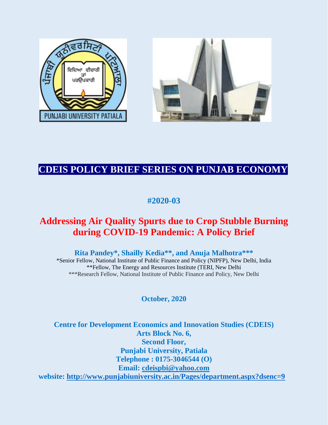



# **CDEIS POLICY BRIEF SERIES ON PUNJAB ECONOMY**

**#2020-03**

# **Addressing Air Quality Spurts due to Crop Stubble Burning during COVID-19 Pandemic: A Policy Brief**

**Rita Pandey\*, Shailly Kedia\*\*, and Anuja Malhotra\*\*\***

\*Senior Fellow, National Institute of Public Finance and Policy (NIPFP), New Delhi, India \*\*Fellow, The Energy and Resources Institute (TERI, New Delhi \*\*\*Research Fellow, National Institute of Public Finance and Policy, New Delhi

**October, 2020**

**Centre for Development Economics and Innovation Studies (CDEIS) Arts Block No. 6, Second Floor, Punjabi University, Patiala Telephone : 0175-3046544 (O) Email: [cdeispbi@yahoo.com](mailto:cdeispbi@yahoo.com) website:<http://www.punjabiuniversity.ac.in/Pages/department.aspx?dsenc=9>**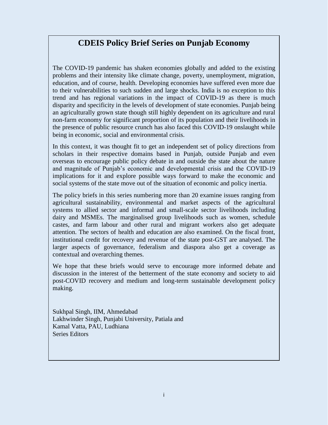## **CDEIS Policy Brief Series on Punjab Economy**

The COVID-19 pandemic has shaken economies globally and added to the existing problems and their intensity like climate change, poverty, unemployment, migration, education, and of course, health. Developing economies have suffered even more due to their vulnerabilities to such sudden and large shocks. India is no exception to this trend and has regional variations in the impact of COVID-19 as there is much disparity and specificity in the levels of development of state economies. Punjab being an agriculturally grown state though still highly dependent on its agriculture and rural non-farm economy for significant proportion of its population and their livelihoods in the presence of public resource crunch has also faced this COVID-19 onslaught while being in economic, social and environmental crisis.

In this context, it was thought fit to get an independent set of policy directions from scholars in their respective domains based in Punjab, outside Punjab and even overseas to encourage public policy debate in and outside the state about the nature and magnitude of Punjab's economic and developmental crisis and the COVID-19 implications for it and explore possible ways forward to make the economic and social systems of the state move out of the situation of economic and policy inertia.

The policy briefs in this series numbering more than 20 examine issues ranging from agricultural sustainability, environmental and market aspects of the agricultural systems to allied sector and informal and small-scale sector livelihoods including dairy and MSMEs. The marginalised group livelihoods such as women, schedule castes, and farm labour and other rural and migrant workers also get adequate attention. The sectors of health and education are also examined. On the fiscal front, institutional credit for recovery and revenue of the state post-GST are analysed. The larger aspects of governance, federalism and diaspora also get a coverage as contextual and overarching themes.

We hope that these briefs would serve to encourage more informed debate and discussion in the interest of the betterment of the state economy and society to aid post-COVID recovery and medium and long-term sustainable development policy making.

Sukhpal Singh, IIM, Ahmedabad Lakhwinder Singh, Punjabi University, Patiala and Kamal Vatta, PAU, Ludhiana Series Editors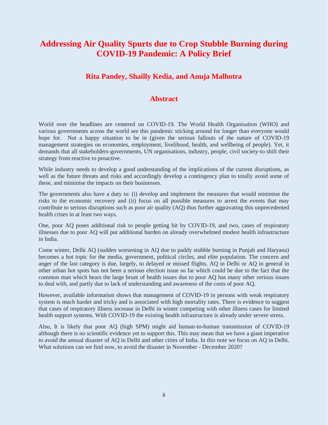## **Addressing Air Quality Spurts due to Crop Stubble Burning during COVID-19 Pandemic: A Policy Brief**

## **Rita Pandey, Shailly Kedia, and Anuja Malhotra**

## **Abstract**

World over the headlines are centered on COVID-19. The World Health Organisation (WHO) and various governments across the world see this pandemic sticking around for longer than everyone would hope for. Not a happy situation to be in (given the serious fallouts of the nature of COVID-19 management strategies on economies, employment, livelihood, health, and wellbeing of people). Yet, it demands that all stakeholders-governments, UN organisations, industry, people, civil society-to shift their strategy from reactive to proactive.

While industry needs to develop a good understanding of the implications of the current disruptions, as well as the future threats and risks and accordingly develop a contingency plan to totally avoid some of these, and minimise the impacts on their businesses.

The governments also have a duty to: (i) develop and implement the measures that would minimise the risks to the economic recovery and (ii) focus on all possible measures to arrest the events that may contribute to serious disruptions such as poor air quality (AQ) thus further aggravating this unprecedented health crises in at least two ways.

One, poor AQ poses additional risk to people getting hit by COVID-19, and two, cases of respiratory illnesses due to poor AQ will put additional burden on already overwhelmed modest health infrastructure in India.

Come winter, Delhi AQ (sudden worsening in AQ due to paddy stubble burning in Punjab and Haryana) becomes a hot topic for the media, government, political circles, and elite population. The concern and anger of the last category is due, largely, to delayed or missed flights. AQ in Delhi or AQ in general in other urban hot spots has not been a serious election issue so far which could be due to the fact that the common man which bears the large brunt of health issues due to poor AQ has many other serious issues to deal with, and partly due to lack of understanding and awareness of the costs of poor AQ.

However, available information shows that management of COVID-19 in persons with weak respiratory system is much harder and tricky and is associated with high mortality rates. There is evidence to suggest that cases of respiratory illness increase in Delhi in winter competing with other illness cases for limited health support systems. With COVID-19 the existing health infrastructure is already under severe stress.

Also, It is likely that poor AQ (high SPM) might aid human-to-human transmission of COVID-19 although there is no scientific evidence yet to support this. This may mean that we have a giant imperative to avoid the annual disaster of AQ in Delhi and other cities of India. In this note we focus on AQ in Delhi. What solutions can we find now, to avoid the disaster in November - December 2020?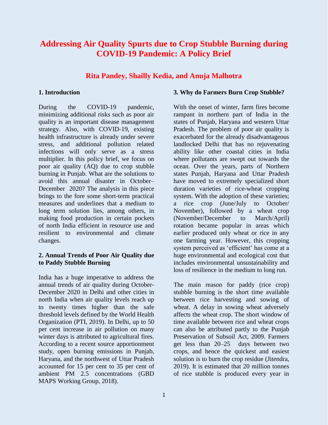## **Addressing Air Quality Spurts due to Crop Stubble Burning during COVID-19 Pandemic: A Policy Brief**

### **Rita Pandey, Shailly Kedia, and Anuja Malhotra**

#### **1. Introduction**

During the COVID-19 pandemic, minimizing additional risks such as poor air quality is an important disease management strategy. Also, with COVID-19, existing health infrastructure is already under severe stress, and additional pollution related infections will only serve as a stress multiplier. In this policy brief, we focus on poor air quality (AQ) due to crop stubble burning in Punjab. What are the solutions to avoid this annual disaster in October– December 2020? The analysis in this piece brings to the fore some short-term practical measures and underlines that a medium to long term solution lies, among others, in making food production in certain pockets of north India efficient in resource use and resilient to environmental and climate changes.

#### **2. Annual Trends of Poor Air Quality due to Paddy Stubble Burning**

India has a huge imperative to address the annual trends of air quality during October-December 2020 in Delhi and other cities in north India when air quality levels reach up to twenty times higher than the safe threshold levels defined by the World Health Organization (PTI, 2019). In Delhi, up to 50 per cent increase in air pollution on many winter days is attributed to agricultural fires. According to a recent source apportionment study, open burning emissions in Punjab, Haryana, and the northwest of Uttar Pradesh accounted for 15 per cent to 35 per cent of ambient PM 2.5 concentrations (GBD MAPS Working Group, 2018).

#### **3. Why do Farmers Burn Crop Stubble?**

With the onset of winter, farm fires become rampant in northern part of India in the states of Punjab, Haryana and western Uttar Pradesh. The problem of poor air quality is exacerbated for the already disadvantageous landlocked Delhi that has no rejuvenating ability like other coastal cities in India where pollutants are swept out towards the ocean. Over the years, parts of Northern states Punjab, Haryana and Uttar Pradesh have moved to extremely specialized short duration varieties of rice-wheat cropping system. With the adoption of these varieties; a rice crop (June/July to October/ November), followed by a wheat crop (November/December to March/April) rotation became popular in areas which earlier produced only wheat or rice in any one farming year. However, this cropping system perceived as 'efficient' has come at a huge environmental and ecological cost that includes environmental unsustainability and loss of resilience in the medium to long run.

The main reason for paddy (rice crop) stubble burning is the short time available between rice harvesting and sowing of wheat. A delay in sowing wheat adversely affects the wheat crop. The short window of time available between rice and wheat crops can also be attributed partly to the Punjab Preservation of Subsoil Act, 2009. Farmers get less than 20–25 days between two crops, and hence the quickest and easiest solution is to burn the crop residue (Jitendra, 2019). It is estimated that 20 million tonnes of rice stubble is produced every year in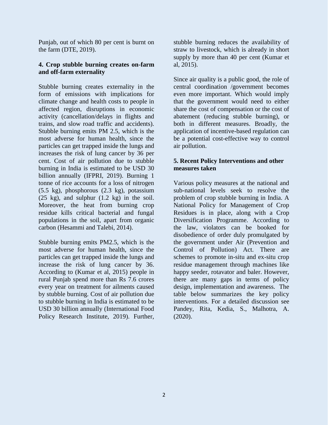Punjab, out of which 80 per cent is burnt on the farm (DTE, 2019).

### **4. Crop stubble burning creates on-farm and off-farm externality**

Stubble burning creates externality in the form of emissions with implications for climate change and health costs to people in affected region, disruptions in economic activity (cancellation/delays in flights and trains, and slow road traffic and accidents). Stubble burning emits PM 2.5, which is the most adverse for human health, since the particles can get trapped inside the lungs and increases the risk of lung cancer by 36 per cent. Cost of air pollution due to stubble burning in India is estimated to be USD 30 billion annually (IFPRI, 2019). Burning 1 tonne of rice accounts for a loss of nitrogen (5.5 kg), phosphorous (2.3 kg), potassium (25 kg), and sulphur (1.2 kg) in the soil. Moreover, the heat from burning crop residue kills critical bacterial and fungal populations in the soil, apart from organic carbon (Hesammi and Talebi, 2014).

Stubble burning emits PM2.5, which is the most adverse for human health, since the particles can get trapped inside the lungs and increase the risk of lung cancer by 36. According to (Kumar et al, 2015) people in rural Punjab spend more than Rs 7.6 crores every year on treatment for ailments caused by stubble burning. Cost of air pollution due to stubble burning in India is estimated to be USD 30 billion annually (International Food Policy Research Institute, 2019). Further, stubble burning reduces the availability of straw to livestock, which is already in short supply by more than 40 per cent (Kumar et al, 2015).

Since air quality is a public good, the role of central coordination /government becomes even more important. Which would imply that the government would need to either share the cost of compensation or the cost of abatement (reducing stubble burning), or both in different measures. Broadly, the application of incentive-based regulation can be a potential cost-effective way to control air pollution.

## **5. Recent Policy Interventions and other measures taken**

Various policy measures at the national and sub-national levels seek to resolve the problem of crop stubble burning in India. A National Policy for Management of Crop Residues is in place, along with a Crop Diversification Programme. According to the law, violators can be booked for disobedience of order duly promulgated by the government under Air (Prevention and Control of Pollution) Act. There are schemes to promote in-situ and ex-situ crop residue management through machines like happy seeder, rotavator and baler. However, there are many gaps in terms of policy design, implementation and awareness. The table below summarizes the key policy interventions. For a detailed discussion see Pandey, Rita, Kedia, S., Malhotra, A. (2020).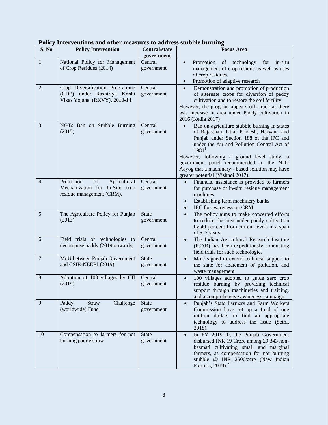| S. No            | <b>Policy Intervention</b>                                                                      | <b>Central/state</b>       | <b>Focus Area</b>                                                                                                                                                                                                                                                                                                                                                                  |
|------------------|-------------------------------------------------------------------------------------------------|----------------------------|------------------------------------------------------------------------------------------------------------------------------------------------------------------------------------------------------------------------------------------------------------------------------------------------------------------------------------------------------------------------------------|
|                  |                                                                                                 | government                 |                                                                                                                                                                                                                                                                                                                                                                                    |
| $\mathbf{1}$     | National Policy for Management<br>of Crop Residues (2014)                                       | Central<br>government      | Promotion<br>technology<br>for<br>in-situ<br>of<br>$\bullet$<br>management of crop residue as well as uses<br>of crop residues.<br>Promotion of adaptive research<br>$\bullet$                                                                                                                                                                                                     |
| $\overline{2}$   | Crop Diversification Programme<br>(CDP) under Rashtriya Krishi<br>Vikas Yojana (RKVY), 2013-14. | Central<br>government      | Demonstration and promotion of production<br>$\bullet$<br>of alternate crops for diversion of paddy<br>cultivation and to restore the soil fertility<br>However, the program appears off- track as there<br>was increase in area under Paddy cultivation in<br>2016 (Kedia 2017)                                                                                                   |
| $\mathfrak{Z}$   | NGTs Ban on Stubble Burning<br>(2015)                                                           | Central<br>government      | Ban on agriculture stubble burning in states<br>of Rajasthan, Uttar Pradesh, Haryana and<br>Punjab under Section 188 of the IPC and<br>under the Air and Pollution Control Act of<br>$1981^1$ .<br>However, following a ground level study, a<br>government panel recommended to the NITI<br>Aayog that a machinery - based solution may have<br>greater potential (Vishnoi 2017). |
| 4                | Promotion<br>of<br>Agricultural<br>Mechanization for In-Situ crop<br>residue management (CRM).  | Central<br>government      | Financial assistance is provided to farmers<br>$\bullet$<br>for purchase of in-situ residue management<br>machines<br>Establishing farm machinery banks<br>$\bullet$<br>IEC for awareness on CRM<br>$\bullet$                                                                                                                                                                      |
| 5                | The Agriculture Policy for Punjab<br>(2013)                                                     | <b>State</b><br>government | The policy aims to make concerted efforts<br>$\bullet$<br>to reduce the area under paddy cultivation<br>by 40 per cent from current levels in a span<br>of 5-7 years.                                                                                                                                                                                                              |
| 6                | Field trials of technologies<br>to<br>decompose paddy (2019 onwards)                            | Central<br>government      | The Indian Agricultural Research Institute<br>$\bullet$<br>(ICAR) has been expeditiously conducting<br>field trials for such technologies                                                                                                                                                                                                                                          |
| $\boldsymbol{7}$ | MoU between Punjab Government<br>and CSIR-NEERI (2019)                                          | <b>State</b><br>government | MoU signed to extend technical support to<br>$\bullet$<br>the state for abatement of pollution, and<br>waste management                                                                                                                                                                                                                                                            |
| 8                | Adoption of 100 villages by CII<br>(2019)                                                       | Central<br>government      | 100 villages adopted to guide zero crop<br>residue burning by providing technical<br>support through machineries and training,<br>and a comprehensive awareness campaign                                                                                                                                                                                                           |
| 9                | Paddy<br>Straw<br>Challenge<br>(worldwide) Fund                                                 | <b>State</b><br>government | Punjab's State Farmers and Farm Workers<br>$\bullet$<br>Commission have set up a fund of one<br>million dollars to find an appropriate<br>technology to address the issue (Sethi,<br>2018).                                                                                                                                                                                        |
| 10               | Compensation to farmers for not<br>burning paddy straw                                          | <b>State</b><br>government | In FY 2019-20, the Punjab Government<br>$\bullet$<br>disbursed INR 19 Crore among 29,343 non-<br>basmati cultivating small and marginal<br>farmers, as compensation for not burning<br>stubble @ INR 2500/acre (New Indian<br>Express, $2019$ . <sup>2</sup>                                                                                                                       |

| Policy Interventions and other measures to address stubble burning |  |  |
|--------------------------------------------------------------------|--|--|
|                                                                    |  |  |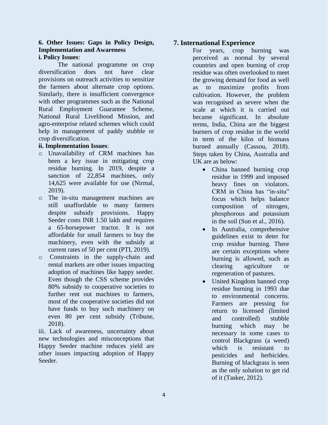#### **6. Other Issues: Gaps in Policy Design, Implementation and Awareness i. Policy Issues**:

The national programme on crop diversification does not have clear provisions on outreach activities to sensitize the farmers about alternate crop options. Similarly, there is insufficient convergence with other programmes such as the National Rural Employment Guarantee Scheme, National Rural Livelihood Mission, and agro-enterprise related schemes which could help in management of paddy stubble or crop diversification.

#### **ii. Implementation Issues**:

- o Unavailability of CRM machines has been a key issue in mitigating crop residue burning. In 2019, despite a sanction of 22,854 machines, only 14,625 were available for use (Nirmal, 2019).
- o The in-situ management machines are still unaffordable to many farmers despite subsidy provisions. Happy Seeder costs INR 1.50 lakh and requires a 65-horsepower tractor. It is not affordable for small farmers to buy the machinery, even with the subsidy at current rates of 50 per cent (PTI, 2019).
- o Constraints in the supply-chain and rental markets are other issues impacting adoption of machines like happy seeder. Even though the CSS scheme provides 80% subsidy to cooperative societies to further rent out machines to farmers, most of the cooperative societies did not have funds to buy such machinery on even 80 per cent subsidy (Tribune, 2018).

iii. Lack of awareness, uncertainty about new technologies and misconceptions that Happy Seeder machine reduces yield are other issues impacting adoption of Happy Seeder.

## **7. International Experience**

For years, crop burning was perceived as normal by several countries and open burning of crop residue was often overlooked to meet the growing demand for food as well as to maximize profits from cultivation. However, the problem was recognised as severe when the scale at which it is carried out became significant. In absolute terms, India, China are the biggest burners of crop residue in the world in term of the kilos of biomass burned annually (Cassou, 2018). Steps taken by China, Australia and UK are as below:

- China banned burning crop residue in 1999 and imposed heavy fines on violators. CRM in China has "in-situ" focus which helps balance composition of nitrogen, phosphorous and potassium in the soil (Sun et al., 2016).
- In Australia, comprehensive guidelines exist to deter for crop residue burning. There are certain exceptions where burning is allowed, such as clearing agriculture or regeneration of pastures.
- United Kingdom banned crop residue burning in 1993 due to environmental concerns. Farmers are pressing for return to licensed (limited and controlled) stubble burning which may be necessary in some cases to control Blackgrass (a weed) which is resistant to pesticides and herbicides. Burning of blackgrass is seen as the only solution to get rid of it (Tasker, 2012).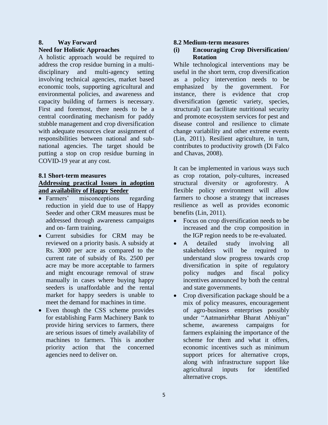#### **8. Way Forward Need for Holistic Approaches**

A holistic approach would be required to address the crop residue burning in a multidisciplinary and multi-agency setting involving technical agencies, market based economic tools, supporting agricultural and environmental policies, and awareness and capacity building of farmers is necessary. First and foremost, there needs to be a central coordinating mechanism for paddy stubble management and crop diversification with adequate resources clear assignment of responsibilities between national and subnational agencies. The target should be putting a stop on crop residue burning in COVID-19 year at any cost.

# **8.1 Short-term measures**

#### **Addressing practical Issues in adoption and availability of Happy Seeder**

- Farmers' misconceptions regarding reduction in yield due to use of Happy Seeder and other CRM measures must be addressed through awareness campaigns and on- farm training.
- Current subsidies for CRM may be reviewed on a priority basis. A subsidy at Rs. 3000 per acre as compared to the current rate of subsidy of Rs. 2500 per acre may be more acceptable to farmers and might encourage removal of straw manually in cases where buying happy seeders is unaffordable and the rental market for happy seeders is unable to meet the demand for machines in time.
- Even though the CSS scheme provides for establishing Farm Machinery Bank to provide hiring services to farmers, there are serious issues of timely availability of machines to farmers. This is another priority action that the concerned agencies need to deliver on.

### **8.2 Medium-term measures**

## **(i) Encouraging Crop Diversification/ Rotation**

While technological interventions may be useful in the short term, crop diversification as a policy intervention needs to be emphasized by the government. For instance, there is evidence that crop diversification (genetic variety, species, structural) can facilitate nutritional security and promote ecosystem services for pest and disease control and resilience to climate change variability and other extreme events (Lin, 2011). Resilient agriculture, in turn, contributes to productivity growth (Di Falco and Chavas, 2008).

It can be implemented in various ways such as crop rotation, poly-cultures, increased structural diversity or agroforestry. A flexible policy environment will allow farmers to choose a strategy that increases resilience as well as provides economic benefits (Lin, 2011).

- Focus on crop diversification needs to be increased and the crop composition in the IGP region needs to be re-evaluated.
- A detailed study involving all stakeholders will be required to understand slow progress towards crop diversification in spite of regulatory policy nudges and fiscal policy incentives announced by both the central and state governments.
- Crop diversification package should be a mix of policy measures, encouragement of agro-business enterprises possibly under "Aatmanirbhar Bharat Abhiyan" scheme, awareness campaigns for farmers explaining the importance of the scheme for them and what it offers, economic incentives such as minimum support prices for alternative crops, along with infrastructure support like agricultural inputs for identified alternative crops.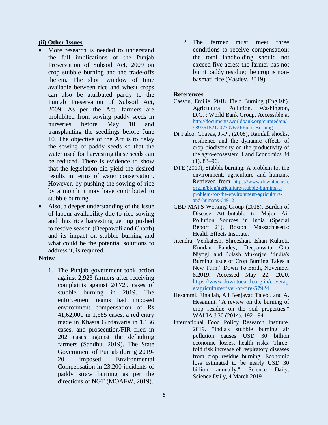#### **(ii) Other Issues**

- More research is needed to understand the full implications of the Punjab Preservation of Subsoil Act, 2009 on crop stubble burning and the trade-offs therein. The short window of time available between rice and wheat crops can also be attributed partly to the Punjab Preservation of Subsoil Act, 2009. As per the Act, farmers are prohibited from sowing paddy seeds in nurseries before May 10 and transplanting the seedlings before June 10. The objective of the Act is to delay the sowing of paddy seeds so that the water used for harvesting these seeds can be reduced. There is evidence to show that the legislation did yield the desired results in terms of water conservation. However, by pushing the sowing of rice by a month it may have contributed to stubble burning.
- Also, a deeper understanding of the issue of labour availability due to rice sowing and thus rice harvesting getting pushed to festive season (Deepawali and Chatth) and its impact on stubble burning and what could be the potential solutions to address it, is required.

#### **Notes**:

1. The Punjab government took action against 2,923 farmers after receiving complaints against 20,729 cases of stubble burning in 2019. The enforcement teams had imposed environment compensation of Rs 41,62,000 in 1,585 cases, a red entry made in Khasra Girdawaris in 1,136 cases, and prosecution/FIR filed in 202 cases against the defaulting farmers (Sandhu, 2019). The State Government of Punjab during 2019- 20 imposed Environmental Compensation in 23,200 incidents of paddy straw burning as per the directions of NGT (MOAFW, 2019).

2. The farmer must meet three conditions to receive compensation: the total landholding should not exceed five acres; the farmer has not burnt paddy residue; the crop is nonbasmati rice (Vasdev, 2019).

#### **References**

- Cassou, Emilie. 2018. Field Burning (English). Agricultural Pollution. Washington, D.C. : World Bank Group. Accessible at [http://documents.worldbank.org/curated/en/](http://documents.worldbank.org/curated/en/%20989351521207797690/Field-Burning)  [989351521207797690/Field-Burning](http://documents.worldbank.org/curated/en/%20989351521207797690/Field-Burning)
- Di Falco, Chavas, J.-P., (2008), Rainfall shocks, resilience and the dynamic effects of crop biodiversity on the productivity of the agro-ecosystem. Land Economics 84 (1), 83–96.
- DTE (2019), Stubble burning: A problem for the environment, agriculture and humans. Retrieved from https://www.downtoearth. org.in/blog/agriculture/stubble-burning-aproblem-for-the-environment-agricultureand-humans-64912
- GBD MAPS Working Group (2018), Burden of Disease Attributable to Major Air Pollution Sources in India (Special Report 21), Boston, Massachusetts: Health Effects Institute.
- Jitendra, Venkatesh, Shreeshan, Ishan Kukreti, Kundan Pandey, Deepanwita Gita Niyogi, and Polash Mukerjee. "India's Burning Issue of Crop Burning Takes a New Turn." Down To Earth, November 8,2019. Accessed May 22, 2020. [https://www.downtoearth.org.in/coverag](https://www.downtoearth.org.in/coverage/agriculture/river-of-fire-57924) [e/agriculture/river-of-fire-57924.](https://www.downtoearth.org.in/coverage/agriculture/river-of-fire-57924)
- Hesammi, Einallah, Ali Benjavad Talebi, and A. Hesammi. "A review on the burning of crop residue on the soil properties." WALIA J 30 (2014): 192-194.
- International Food Policy Research Institute. 2019. "India's stubble burning air pollution causes USD 30 billion economic losses, health risks: Threefold risk increase of respiratory diseases from crop residue burning; Economic loss estimated to be nearly USD 30 billion annually." Science Daily. Science Daily, 4 March 2019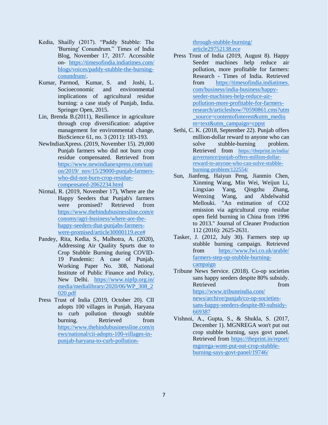- Kedia, Shailly (2017). "Paddy Stubble: The 'Burning' Conundrum." Times of India Blog, November 17, 2017. Accessible on- [https://timesofindia.indiatimes.com/](https://timesofindia.indiatimes.com/%20blogs/voices/paddy-stubble-the-burning-conundrum/)  [blogs/voices/paddy-stubble-the-burning](https://timesofindia.indiatimes.com/%20blogs/voices/paddy-stubble-the-burning-conundrum/)[conundrum/.](https://timesofindia.indiatimes.com/%20blogs/voices/paddy-stubble-the-burning-conundrum/)
- Kumar, Parmod, Kumar, S. and Joshi, L. Socioeconomic and environmental implications of agricultural residue burning: a case study of Punjab, India. Springer Open, 2015.
- Lin, Brenda B.(2011), Resilience in agriculture through crop diversification: adaptive management for environmental change, BioScience 61, no. 3 (2011): 183-193.
- NewIndianXpress. (2019, November 15). 29,000 Punjab farmers who did not burn crop residue compensated. Retrieved from [https://www.newindianexpress.com/nati](https://www.newindianexpress.com/nation/2019/%20nov/15/29000-punjab-farmers-who-did-not-burn-crop-residue-compensated-2062234.html) [on/2019/ nov/15/29000-punjab-farmers](https://www.newindianexpress.com/nation/2019/%20nov/15/29000-punjab-farmers-who-did-not-burn-crop-residue-compensated-2062234.html)[who-did-not-burn-crop-residue](https://www.newindianexpress.com/nation/2019/%20nov/15/29000-punjab-farmers-who-did-not-burn-crop-residue-compensated-2062234.html)[compensated-2062234.html](https://www.newindianexpress.com/nation/2019/%20nov/15/29000-punjab-farmers-who-did-not-burn-crop-residue-compensated-2062234.html)
- Nirmal, R. (2019, November 17), Where are the Happy Seeders that Punjab's farmers were promised? Retrieved from [https://www.thehindubusinessline.com/e](https://www.thehindubusinessline.com/economy/agri-business/where-are-the-happy-seeders-that-punjabs-farmers-were-promised/article30000119.ece) [conomy/agri-business/where-are-the](https://www.thehindubusinessline.com/economy/agri-business/where-are-the-happy-seeders-that-punjabs-farmers-were-promised/article30000119.ece)[happy-seeders-that-punjabs-farmers](https://www.thehindubusinessline.com/economy/agri-business/where-are-the-happy-seeders-that-punjabs-farmers-were-promised/article30000119.ece)[were-promised/article30000119.ece#](https://www.thehindubusinessline.com/economy/agri-business/where-are-the-happy-seeders-that-punjabs-farmers-were-promised/article30000119.ece)
- Pandey, Rita, Kedia, S., Malhotra, A. (2020), Addressing Air Quality Spurts due to Crop Stubble Burning during COVID-19 Pandemic: A case of Punjab, Working Paper No. 308, National Institute of Public Finance and Policy, New Delhi. [https://www.nipfp.org.in/](https://www.nipfp.org.in/%20media/medialibrary/2020/06/WP_308_2020.pdf)  [media/medialibrary/2020/06/WP\\_308\\_2](https://www.nipfp.org.in/%20media/medialibrary/2020/06/WP_308_2020.pdf) [020.pdf](https://www.nipfp.org.in/%20media/medialibrary/2020/06/WP_308_2020.pdf)
- Press Trust of India (2019, October 20). CII adopts 100 villages in Punjab, Haryana to curb pollution through stubble burning. Retrieved from [https://www.thehindubusinessline.com/n](https://www.thehindubusinessline.com/news/national/cii-adopts-100-villages-in-punjab-haryana-to-curb-pollution-through-stubble-burning/%20article29752138.ece) [ews/national/cii-adopts-100-villages-in](https://www.thehindubusinessline.com/news/national/cii-adopts-100-villages-in-punjab-haryana-to-curb-pollution-through-stubble-burning/%20article29752138.ece)[punjab-haryana-to-curb-pollution-](https://www.thehindubusinessline.com/news/national/cii-adopts-100-villages-in-punjab-haryana-to-curb-pollution-through-stubble-burning/%20article29752138.ece)

[through-stubble-burning/](https://www.thehindubusinessline.com/news/national/cii-adopts-100-villages-in-punjab-haryana-to-curb-pollution-through-stubble-burning/%20article29752138.ece)  [article29752138.ece](https://www.thehindubusinessline.com/news/national/cii-adopts-100-villages-in-punjab-haryana-to-curb-pollution-through-stubble-burning/%20article29752138.ece)

- Press Trust of India (2019, August 8). Happy Seeder machines help reduce air pollution, more profitable for farmers: Research - Times of India. Retrieved from https://timesofindia.indiatimes. com/business/india-business/happyseeder-machines-help-reduce-airpollution-more-profitable-for-farmersresearch/articleshow/70590861.cms?utm \_source=contentofinterest&utm\_mediu m=text&utm\_campaign=cppst
- Sethi, C. K. (2018, September 22). Punjab offers million-dollar reward to anyone who can solve stubble-burning problem. Retrieved from [https://theprint.in/india/](https://theprint.in/india/%20governance/punjab-offers-million-dollar-reward-to-anyone-who-can-solve-stubble-burning-problem/122554/)  [governance/punjab-offers-million-dollar](https://theprint.in/india/%20governance/punjab-offers-million-dollar-reward-to-anyone-who-can-solve-stubble-burning-problem/122554/)[reward-to-anyone-who-can-solve-stubble](https://theprint.in/india/%20governance/punjab-offers-million-dollar-reward-to-anyone-who-can-solve-stubble-burning-problem/122554/)[burning-problem/122554/](https://theprint.in/india/%20governance/punjab-offers-million-dollar-reward-to-anyone-who-can-solve-stubble-burning-problem/122554/)
- Sun, Jianfeng, Haiyun Peng, Jianmin Chen, Xinming Wang, Min Wei, Weijun Li, Lingxiao Yang, Qingzhu Zhang, Wenxing Wang, and Abdelwahid Mellouki. "An estimation of CO2 emission via agricultural crop residue open field burning in China from 1996 to 2013." Journal of Cleaner Production 112 (2016): 2625-2631.
- Tasker, J. (2012, July 30). Farmers step up stubble burning campaign. Retrieved from [https://www.fwi.co.uk/arable/](https://www.fwi.co.uk/arable/%20farmers-step-up-stubble-burning-campaign)  [farmers-step-up-stubble-burning](https://www.fwi.co.uk/arable/%20farmers-step-up-stubble-burning-campaign)[campaign](https://www.fwi.co.uk/arable/%20farmers-step-up-stubble-burning-campaign)
- Tribune News Service. (2018). Co-op societies sans happy seeders despite 80% subsidy. Retrieved from  $\sim$ [https://www.tribuneindia.com/](https://www.tribuneindia.com/%20news/archive/punjab/co-op-societies-sans-happy-seeders-despite-80-subsidy-669387)  [news/archive/punjab/co-op-societies](https://www.tribuneindia.com/%20news/archive/punjab/co-op-societies-sans-happy-seeders-despite-80-subsidy-669387)[sans-happy-seeders-despite-80-subsidy-](https://www.tribuneindia.com/%20news/archive/punjab/co-op-societies-sans-happy-seeders-despite-80-subsidy-669387)[669387](https://www.tribuneindia.com/%20news/archive/punjab/co-op-societies-sans-happy-seeders-despite-80-subsidy-669387)
- Vishnoi, A., Gupta, S., & Shukla, S. (2017, December 1). MGNREGA won't put out crop stubble burning, says govt panel. Retrieved from [https://theprint.in/report/](https://theprint.in/report/%20mgnrega-wont-put-out-crop-stubble-burning-says-govt-panel/19746/)  [mgnrega-wont-put-out-crop-stubble](https://theprint.in/report/%20mgnrega-wont-put-out-crop-stubble-burning-says-govt-panel/19746/)[burning-says-govt-panel/19746/](https://theprint.in/report/%20mgnrega-wont-put-out-crop-stubble-burning-says-govt-panel/19746/)